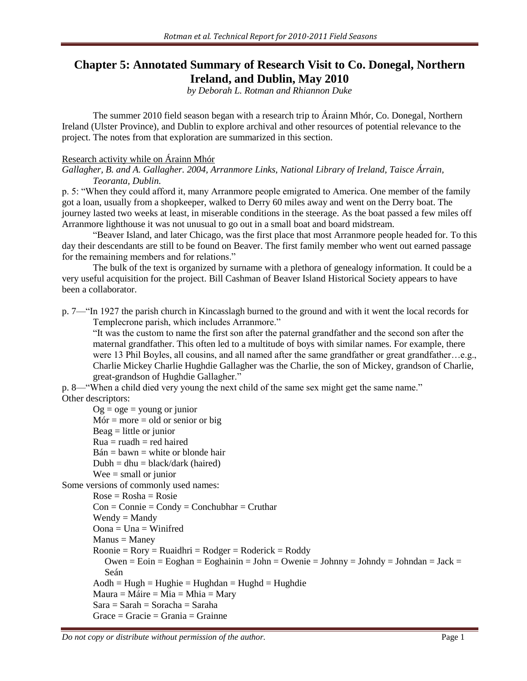# **Chapter 5: Annotated Summary of Research Visit to Co. Donegal, Northern Ireland, and Dublin, May 2010**

*by Deborah L. Rotman and Rhiannon Duke*

The summer 2010 field season began with a research trip to Árainn Mhór, Co. Donegal, Northern Ireland (Ulster Province), and Dublin to explore archival and other resources of potential relevance to the project. The notes from that exploration are summarized in this section.

## Research activity while on Árainn Mhór

*Gallagher, B. and A. Gallagher. 2004, Arranmore Links, National Library of Ireland, Taisce Árrain, Teoranta, Dublin.*

p. 5: "When they could afford it, many Arranmore people emigrated to America. One member of the family got a loan, usually from a shopkeeper, walked to Derry 60 miles away and went on the Derry boat. The journey lasted two weeks at least, in miserable conditions in the steerage. As the boat passed a few miles off Arranmore lighthouse it was not unusual to go out in a small boat and board midstream.

"Beaver Island, and later Chicago, was the first place that most Arranmore people headed for. To this day their descendants are still to be found on Beaver. The first family member who went out earned passage for the remaining members and for relations."

The bulk of the text is organized by surname with a plethora of genealogy information. It could be a very useful acquisition for the project. Bill Cashman of Beaver Island Historical Society appears to have been a collaborator.

p. 7—"In 1927 the parish church in Kincasslagh burned to the ground and with it went the local records for Templecrone parish, which includes Arranmore."

"It was the custom to name the first son after the paternal grandfather and the second son after the maternal grandfather. This often led to a multitude of boys with similar names. For example, there were 13 Phil Boyles, all cousins, and all named after the same grandfather or great grandfather...e.g., Charlie Mickey Charlie Hughdie Gallagher was the Charlie, the son of Mickey, grandson of Charlie, great-grandson of Hughdie Gallagher."

p. 8—"When a child died very young the next child of the same sex might get the same name." Other descriptors:

 $Og = oge = \text{young or junior}$  $Mór = more = old or senior or big$  $Beag =$  little or junior  $Rua = ruadh = red haired$  $Bán = bawn = white$  or blonde hair  $Dubh = dhu = black/dark$  (haired)  $Wee = small or junior$ Some versions of commonly used names:  $Rose = Rosha = Rosie$  $Con = Connie = Condy = Conchubhar = Cruthar$  $W$ endy = Mandy  $O$ ona = Una = Winifred  $M$ anus = Maney  $Roonie = Rory = Ruaidhri = Rodger = Roderick = Roddy$ Owen = Eoin = Eoghan = Eoghainin = John = Owenie = Johnny = Johndy = Johndan = Jack = Seán  $A$ odh = Hugh = Hughie = Hughdan = Hughd = Hughdie  $Maura = Máire = Mia = Mhia = Mary$  $Sara = Sarah = Soracha = Saraha$  $Grace = Gracie = Grania = Grainne$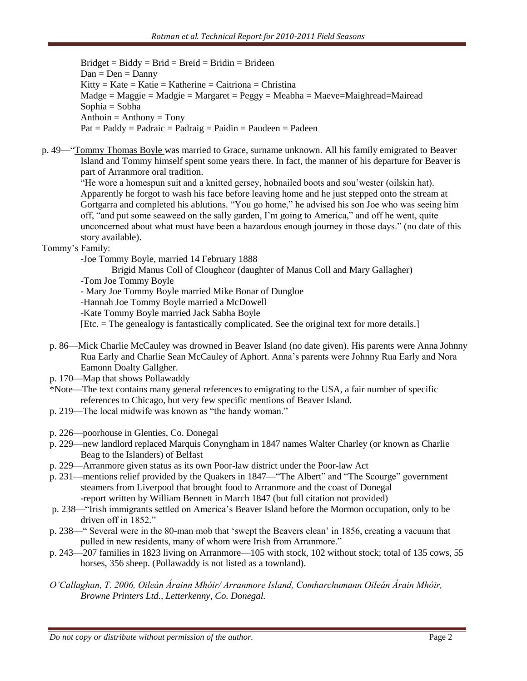$Bridge = Biddy = Brid = Breid = Bridin = Bridge$  $Dan = Den = Danny$  $Kitty = Kate = Katie = Katherine = Caitriona = Christina$  $Madge = Maggie = Madgie = Margaret = Peggy = Meabha = Mae =Mairead = Mairead$ Sophia = Sobha  $Anthoin = Anthony = Tony$  $Pat = Paddy = Padraic = Padraig = Paidin = Paudeen = Padeen$ 

p. 49—"Tommy Thomas Boyle was married to Grace, surname unknown. All his family emigrated to Beaver Island and Tommy himself spent some years there. In fact, the manner of his departure for Beaver is part of Arranmore oral tradition.

"He wore a homespun suit and a knitted gersey, hobnailed boots and sou"wester (oilskin hat). Apparently he forgot to wash his face before leaving home and he just stepped onto the stream at Gortgarra and completed his ablutions. "You go home," he advised his son Joe who was seeing him off, "and put some seaweed on the sally garden, I"m going to America," and off he went, quite unconcerned about what must have been a hazardous enough journey in those days." (no date of this story available).

Tommy's Family:

-Joe Tommy Boyle, married 14 February 1888

Brigid Manus Coll of Cloughcor (daughter of Manus Coll and Mary Gallagher)

-Tom Joe Tommy Boyle

- Mary Joe Tommy Boyle married Mike Bonar of Dungloe

-Hannah Joe Tommy Boyle married a McDowell

-Kate Tommy Boyle married Jack Sabha Boyle

[Etc. = The genealogy is fantastically complicated. See the original text for more details.]

- p. 86—Mick Charlie McCauley was drowned in Beaver Island (no date given). His parents were Anna Johnny Rua Early and Charlie Sean McCauley of Aphort. Anna"s parents were Johnny Rua Early and Nora Eamonn Doalty Gallgher.
- p. 170—Map that shows Pollawaddy
- \*Note—The text contains many general references to emigrating to the USA, a fair number of specific references to Chicago, but very few specific mentions of Beaver Island.
- p. 219—The local midwife was known as "the handy woman."
- p. 226—poorhouse in Glenties, Co. Donegal
- p. 229—new landlord replaced Marquis Conyngham in 1847 names Walter Charley (or known as Charlie Beag to the Islanders) of Belfast
- p. 229—Arranmore given status as its own Poor-law district under the Poor-law Act
- p. 231—mentions relief provided by the Quakers in 1847—"The Albert" and "The Scourge" government steamers from Liverpool that brought food to Arranmore and the coast of Donegal -report written by William Bennett in March 1847 (but full citation not provided)
- p. 238—"Irish immigrants settled on America"s Beaver Island before the Mormon occupation, only to be driven off in 1852."
- p. 238—" Several were in the 80-man mob that "swept the Beavers clean" in 1856, creating a vacuum that pulled in new residents, many of whom were Irish from Arranmore."
- p. 243—207 families in 1823 living on Arranmore—105 with stock, 102 without stock; total of 135 cows, 55 horses, 356 sheep. (Pollawaddy is not listed as a townland).
- *O'Callaghan, T. 2006, Oileán Árainn Mhóir/ Arranmore Island, Comharchumann Oileán Árain Mhóir, Browne Printers Ltd., Letterkenny, Co. Donegal.*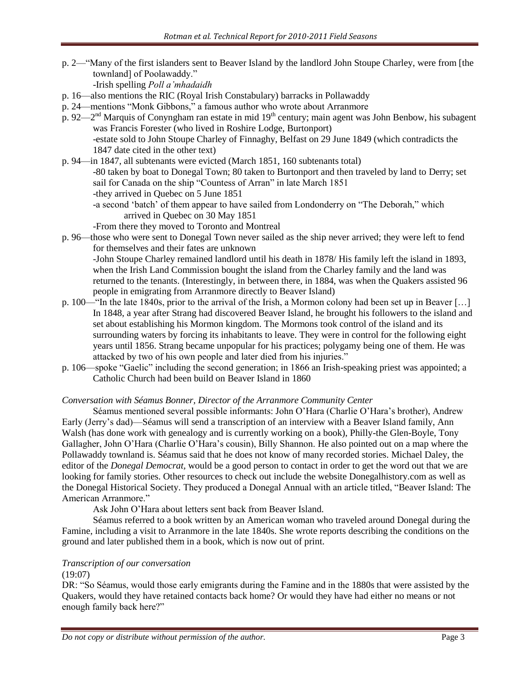p. 2—"Many of the first islanders sent to Beaver Island by the landlord John Stoupe Charley, were from [the townland] of Poolawaddy."

-Irish spelling *Poll a'mhadaidh*

- p. 16—also mentions the RIC (Royal Irish Constabulary) barracks in Pollawaddy
- p. 24—mentions "Monk Gibbons," a famous author who wrote about Arranmore
- p. 92—2<sup>nd</sup> Marquis of Conyngham ran estate in mid 19<sup>th</sup> century; main agent was John Benbow, his subagent was Francis Forester (who lived in Roshire Lodge, Burtonport) -estate sold to John Stoupe Charley of Finnaghy, Belfast on 29 June 1849 (which contradicts the 1847 date cited in the other text)
- p. 94—in 1847, all subtenants were evicted (March 1851, 160 subtenants total) -80 taken by boat to Donegal Town; 80 taken to Burtonport and then traveled by land to Derry; set sail for Canada on the ship "Countess of Arran" in late March 1851 -they arrived in Quebec on 5 June 1851 -a second "batch" of them appear to have sailed from Londonderry on "The Deborah," which arrived in Quebec on 30 May 1851

-From there they moved to Toronto and Montreal

- p. 96—those who were sent to Donegal Town never sailed as the ship never arrived; they were left to fend for themselves and their fates are unknown -John Stoupe Charley remained landlord until his death in 1878/ His family left the island in 1893, when the Irish Land Commission bought the island from the Charley family and the land was returned to the tenants. (Interestingly, in between there, in 1884, was when the Quakers assisted 96 people in emigrating from Arranmore directly to Beaver Island)
- p. 100—"In the late 1840s, prior to the arrival of the Irish, a Mormon colony had been set up in Beaver […] In 1848, a year after Strang had discovered Beaver Island, he brought his followers to the island and set about establishing his Mormon kingdom. The Mormons took control of the island and its surrounding waters by forcing its inhabitants to leave. They were in control for the following eight years until 1856. Strang became unpopular for his practices; polygamy being one of them. He was attacked by two of his own people and later died from his injuries."
- p. 106—spoke "Gaelic" including the second generation; in 1866 an Irish-speaking priest was appointed; a Catholic Church had been build on Beaver Island in 1860

## *Conversation with Séamus Bonner, Director of the Arranmore Community Center*

Séamus mentioned several possible informants: John O'Hara (Charlie O'Hara's brother), Andrew Early (Jerry"s dad)—Séamus will send a transcription of an interview with a Beaver Island family, Ann Walsh (has done work with genealogy and is currently working on a book), Philly-the Glen-Boyle, Tony Gallagher, John O"Hara (Charlie O"Hara"s cousin), Billy Shannon. He also pointed out on a map where the Pollawaddy townland is. Séamus said that he does not know of many recorded stories. Michael Daley, the editor of the *Donegal Democrat,* would be a good person to contact in order to get the word out that we are looking for family stories. Other resources to check out include the website Donegalhistory.com as well as the Donegal Historical Society. They produced a Donegal Annual with an article titled, "Beaver Island: The American Arranmore."

Ask John O"Hara about letters sent back from Beaver Island.

Séamus referred to a book written by an American woman who traveled around Donegal during the Famine, including a visit to Arranmore in the late 1840s. She wrote reports describing the conditions on the ground and later published them in a book, which is now out of print.

# *Transcription of our conversation*

## $(19:07)$

DR: "So Séamus, would those early emigrants during the Famine and in the 1880s that were assisted by the Quakers, would they have retained contacts back home? Or would they have had either no means or not enough family back here?"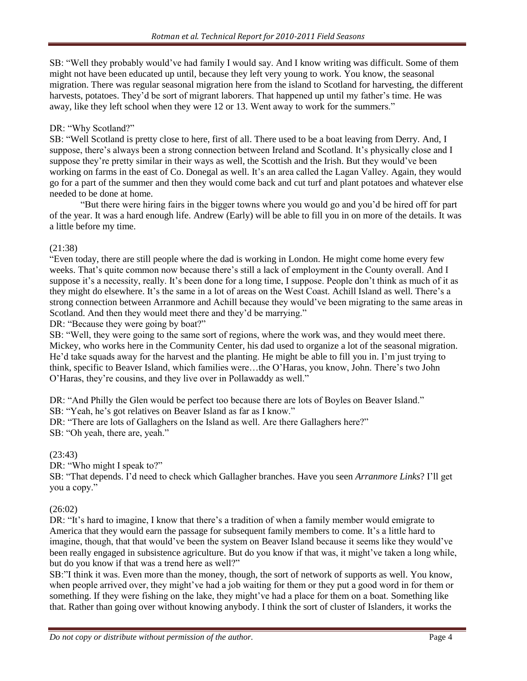SB: "Well they probably would"ve had family I would say. And I know writing was difficult. Some of them might not have been educated up until, because they left very young to work. You know, the seasonal migration. There was regular seasonal migration here from the island to Scotland for harvesting, the different harvests, potatoes. They'd be sort of migrant laborers. That happened up until my father's time. He was away, like they left school when they were 12 or 13. Went away to work for the summers."

# DR: "Why Scotland?"

SB: "Well Scotland is pretty close to here, first of all. There used to be a boat leaving from Derry. And, I suppose, there's always been a strong connection between Ireland and Scotland. It's physically close and I suppose they're pretty similar in their ways as well, the Scottish and the Irish. But they would've been working on farms in the east of Co. Donegal as well. It's an area called the Lagan Valley. Again, they would go for a part of the summer and then they would come back and cut turf and plant potatoes and whatever else needed to be done at home.

"But there were hiring fairs in the bigger towns where you would go and you"d be hired off for part of the year. It was a hard enough life. Andrew (Early) will be able to fill you in on more of the details. It was a little before my time.

# (21:38)

"Even today, there are still people where the dad is working in London. He might come home every few weeks. That's quite common now because there's still a lack of employment in the County overall. And I suppose it's a necessity, really. It's been done for a long time, I suppose. People don't think as much of it as they might do elsewhere. It's the same in a lot of areas on the West Coast. Achill Island as well. There's a strong connection between Arranmore and Achill because they would"ve been migrating to the same areas in Scotland. And then they would meet there and they'd be marrying."

DR: "Because they were going by boat?"

SB: "Well, they were going to the same sort of regions, where the work was, and they would meet there. Mickey, who works here in the Community Center, his dad used to organize a lot of the seasonal migration. He"d take squads away for the harvest and the planting. He might be able to fill you in. I"m just trying to think, specific to Beaver Island, which families were…the O"Haras, you know, John. There"s two John O"Haras, they"re cousins, and they live over in Pollawaddy as well."

DR: "And Philly the Glen would be perfect too because there are lots of Boyles on Beaver Island." SB: "Yeah, he's got relatives on Beaver Island as far as I know."

DR: "There are lots of Gallaghers on the Island as well. Are there Gallaghers here?"

SB: "Oh yeah, there are, yeah."

(23:43)

DR: "Who might I speak to?"

SB: "That depends. I"d need to check which Gallagher branches. Have you seen *Arranmore Links*? I"ll get you a copy."

# (26:02)

DR: "It's hard to imagine, I know that there's a tradition of when a family member would emigrate to America that they would earn the passage for subsequent family members to come. It"s a little hard to imagine, though, that that would"ve been the system on Beaver Island because it seems like they would"ve been really engaged in subsistence agriculture. But do you know if that was, it might've taken a long while, but do you know if that was a trend here as well?"

SB:"I think it was. Even more than the money, though, the sort of network of supports as well. You know, when people arrived over, they might've had a job waiting for them or they put a good word in for them or something. If they were fishing on the lake, they might've had a place for them on a boat. Something like that. Rather than going over without knowing anybody. I think the sort of cluster of Islanders, it works the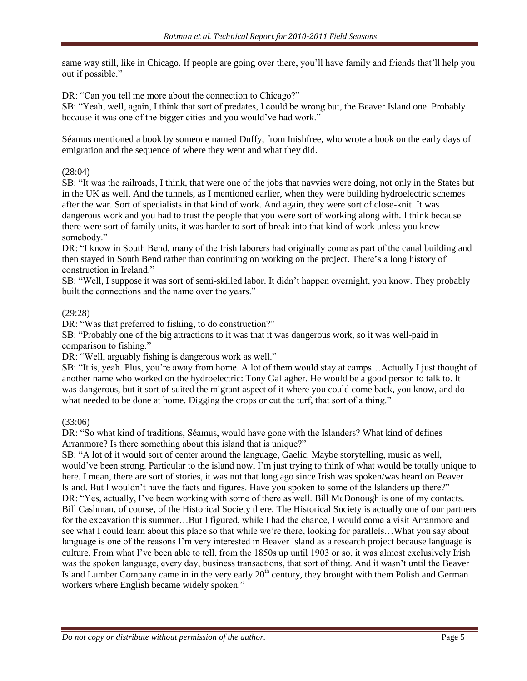same way still, like in Chicago. If people are going over there, you"ll have family and friends that"ll help you out if possible."

DR: "Can you tell me more about the connection to Chicago?"

SB: "Yeah, well, again, I think that sort of predates, I could be wrong but, the Beaver Island one. Probably because it was one of the bigger cities and you would"ve had work."

Séamus mentioned a book by someone named Duffy, from Inishfree, who wrote a book on the early days of emigration and the sequence of where they went and what they did.

# (28:04)

SB: "It was the railroads, I think, that were one of the jobs that navvies were doing, not only in the States but in the UK as well. And the tunnels, as I mentioned earlier, when they were building hydroelectric schemes after the war. Sort of specialists in that kind of work. And again, they were sort of close-knit. It was dangerous work and you had to trust the people that you were sort of working along with. I think because there were sort of family units, it was harder to sort of break into that kind of work unless you knew somebody."

DR: "I know in South Bend, many of the Irish laborers had originally come as part of the canal building and then stayed in South Bend rather than continuing on working on the project. There"s a long history of construction in Ireland."

SB: "Well, I suppose it was sort of semi-skilled labor. It didn"t happen overnight, you know. They probably built the connections and the name over the years."

# (29:28)

DR: "Was that preferred to fishing, to do construction?"

SB: "Probably one of the big attractions to it was that it was dangerous work, so it was well-paid in comparison to fishing."

DR: "Well, arguably fishing is dangerous work as well."

SB: "It is, yeah. Plus, you"re away from home. A lot of them would stay at camps…Actually I just thought of another name who worked on the hydroelectric: Tony Gallagher. He would be a good person to talk to. It was dangerous, but it sort of suited the migrant aspect of it where you could come back, you know, and do what needed to be done at home. Digging the crops or cut the turf, that sort of a thing."

## (33:06)

DR: "So what kind of traditions, Séamus, would have gone with the Islanders? What kind of defines Arranmore? Is there something about this island that is unique?"

SB: "A lot of it would sort of center around the language, Gaelic. Maybe storytelling, music as well, would"ve been strong. Particular to the island now, I"m just trying to think of what would be totally unique to here. I mean, there are sort of stories, it was not that long ago since Irish was spoken/was heard on Beaver Island. But I wouldn"t have the facts and figures. Have you spoken to some of the Islanders up there?" DR: "Yes, actually, I've been working with some of there as well. Bill McDonough is one of my contacts. Bill Cashman, of course, of the Historical Society there. The Historical Society is actually one of our partners for the excavation this summer...But I figured, while I had the chance, I would come a visit Arranmore and see what I could learn about this place so that while we"re there, looking for parallels…What you say about language is one of the reasons I"m very interested in Beaver Island as a research project because language is culture. From what I've been able to tell, from the 1850s up until 1903 or so, it was almost exclusively Irish was the spoken language, every day, business transactions, that sort of thing. And it wasn"t until the Beaver Island Lumber Company came in in the very early 20<sup>th</sup> century, they brought with them Polish and German workers where English became widely spoken."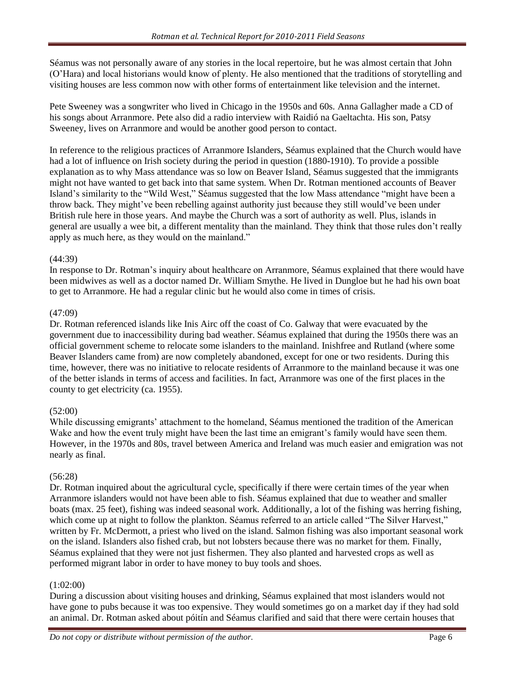Séamus was not personally aware of any stories in the local repertoire, but he was almost certain that John (O"Hara) and local historians would know of plenty. He also mentioned that the traditions of storytelling and visiting houses are less common now with other forms of entertainment like television and the internet.

Pete Sweeney was a songwriter who lived in Chicago in the 1950s and 60s. Anna Gallagher made a CD of his songs about Arranmore. Pete also did a radio interview with Raidió na Gaeltachta. His son, Patsy Sweeney, lives on Arranmore and would be another good person to contact.

In reference to the religious practices of Arranmore Islanders, Séamus explained that the Church would have had a lot of influence on Irish society during the period in question (1880-1910). To provide a possible explanation as to why Mass attendance was so low on Beaver Island, Séamus suggested that the immigrants might not have wanted to get back into that same system. When Dr. Rotman mentioned accounts of Beaver Island"s similarity to the "Wild West," Séamus suggested that the low Mass attendance "might have been a throw back. They might"ve been rebelling against authority just because they still would"ve been under British rule here in those years. And maybe the Church was a sort of authority as well. Plus, islands in general are usually a wee bit, a different mentality than the mainland. They think that those rules don"t really apply as much here, as they would on the mainland."

# (44:39)

In response to Dr. Rotman"s inquiry about healthcare on Arranmore, Séamus explained that there would have been midwives as well as a doctor named Dr. William Smythe. He lived in Dungloe but he had his own boat to get to Arranmore. He had a regular clinic but he would also come in times of crisis.

# (47:09)

Dr. Rotman referenced islands like Inis Airc off the coast of Co. Galway that were evacuated by the government due to inaccessibility during bad weather. Séamus explained that during the 1950s there was an official government scheme to relocate some islanders to the mainland. Inishfree and Rutland (where some Beaver Islanders came from) are now completely abandoned, except for one or two residents. During this time, however, there was no initiative to relocate residents of Arranmore to the mainland because it was one of the better islands in terms of access and facilities. In fact, Arranmore was one of the first places in the county to get electricity (ca. 1955).

# $(52:00)$

While discussing emigrants' attachment to the homeland, Séamus mentioned the tradition of the American Wake and how the event truly might have been the last time an emigrant's family would have seen them. However, in the 1970s and 80s, travel between America and Ireland was much easier and emigration was not nearly as final.

# (56:28)

Dr. Rotman inquired about the agricultural cycle, specifically if there were certain times of the year when Arranmore islanders would not have been able to fish. Séamus explained that due to weather and smaller boats (max. 25 feet), fishing was indeed seasonal work. Additionally, a lot of the fishing was herring fishing, which come up at night to follow the plankton. Séamus referred to an article called "The Silver Harvest," written by Fr. McDermott, a priest who lived on the island. Salmon fishing was also important seasonal work on the island. Islanders also fished crab, but not lobsters because there was no market for them. Finally, Séamus explained that they were not just fishermen. They also planted and harvested crops as well as performed migrant labor in order to have money to buy tools and shoes.

# (1:02:00)

During a discussion about visiting houses and drinking, Séamus explained that most islanders would not have gone to pubs because it was too expensive. They would sometimes go on a market day if they had sold an animal. Dr. Rotman asked about póitín and Séamus clarified and said that there were certain houses that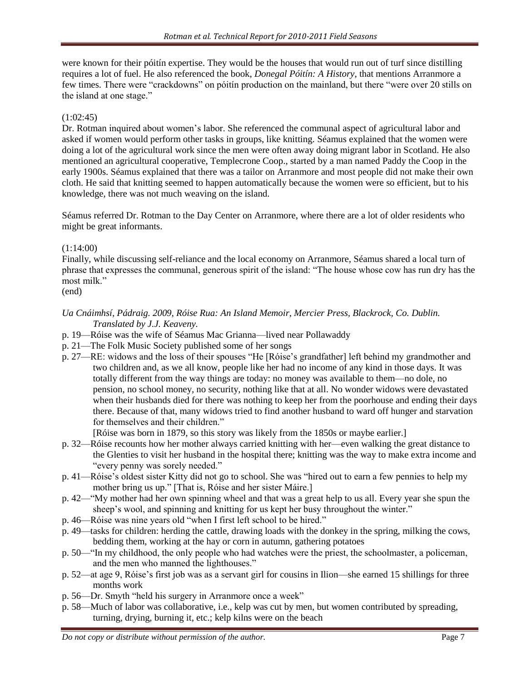were known for their póitín expertise. They would be the houses that would run out of turf since distilling requires a lot of fuel. He also referenced the book, *Donegal Póitín: A History*, that mentions Arranmore a few times. There were "crackdowns" on póitín production on the mainland, but there "were over 20 stills on the island at one stage."

# (1:02:45)

Dr. Rotman inquired about women"s labor. She referenced the communal aspect of agricultural labor and asked if women would perform other tasks in groups, like knitting. Séamus explained that the women were doing a lot of the agricultural work since the men were often away doing migrant labor in Scotland. He also mentioned an agricultural cooperative, Templecrone Coop., started by a man named Paddy the Coop in the early 1900s. Séamus explained that there was a tailor on Arranmore and most people did not make their own cloth. He said that knitting seemed to happen automatically because the women were so efficient, but to his knowledge, there was not much weaving on the island.

Séamus referred Dr. Rotman to the Day Center on Arranmore, where there are a lot of older residents who might be great informants.

# (1:14:00)

Finally, while discussing self-reliance and the local economy on Arranmore, Séamus shared a local turn of phrase that expresses the communal, generous spirit of the island: "The house whose cow has run dry has the most milk."

(end)

### *Ua Cnáimhsí, Pádraig. 2009, Róise Rua: An Island Memoir, Mercier Press, Blackrock, Co. Dublin. Translated by J.J. Keaveny.*

- p. 19—Róise was the wife of Séamus Mac Grianna—lived near Pollawaddy
- p. 21—The Folk Music Society published some of her songs
- p. 27—RE: widows and the loss of their spouses "He [Róise"s grandfather] left behind my grandmother and two children and, as we all know, people like her had no income of any kind in those days. It was totally different from the way things are today: no money was available to them—no dole, no pension, no school money, no security, nothing like that at all. No wonder widows were devastated when their husbands died for there was nothing to keep her from the poorhouse and ending their days there. Because of that, many widows tried to find another husband to ward off hunger and starvation for themselves and their children."

[Róise was born in 1879, so this story was likely from the 1850s or maybe earlier.]

- p. 32—Róise recounts how her mother always carried knitting with her—even walking the great distance to the Glenties to visit her husband in the hospital there; knitting was the way to make extra income and "every penny was sorely needed."
- p. 41—Róise"s oldest sister Kitty did not go to school. She was "hired out to earn a few pennies to help my mother bring us up." [That is, Róise and her sister Máire.]
- p. 42—"My mother had her own spinning wheel and that was a great help to us all. Every year she spun the sheep's wool, and spinning and knitting for us kept her busy throughout the winter."
- p. 46—Róise was nine years old "when I first left school to be hired."
- p. 49—tasks for children: herding the cattle, drawing loads with the donkey in the spring, milking the cows, bedding them, working at the hay or corn in autumn, gathering potatoes
- p. 50—"In my childhood, the only people who had watches were the priest, the schoolmaster, a policeman, and the men who manned the lighthouses."
- p. 52—at age 9, Róise"s first job was as a servant girl for cousins in Ilion—she earned 15 shillings for three months work
- p. 56—Dr. Smyth "held his surgery in Arranmore once a week"
- p. 58—Much of labor was collaborative, i.e., kelp was cut by men, but women contributed by spreading, turning, drying, burning it, etc.; kelp kilns were on the beach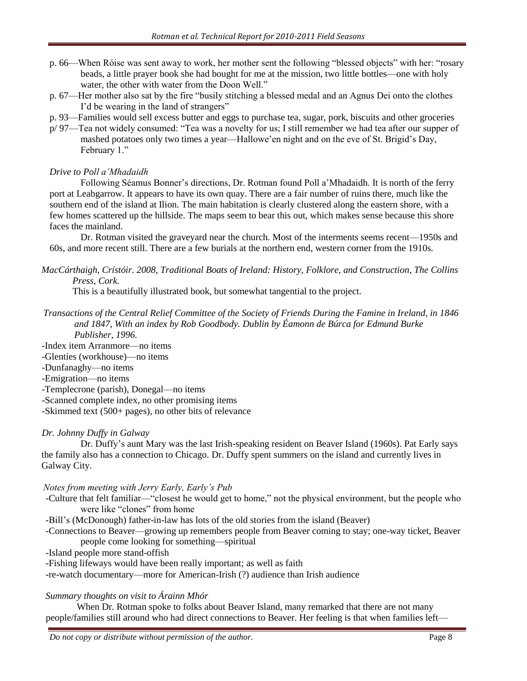- p. 66—When Róise was sent away to work, her mother sent the following "blessed objects" with her: "rosary beads, a little prayer book she had bought for me at the mission, two little bottles—one with holy water, the other with water from the Doon Well."
- p. 67—Her mother also sat by the fire "busily stitching a blessed medal and an Agnus Dei onto the clothes I'd be wearing in the land of strangers"
- p. 93—Families would sell excess butter and eggs to purchase tea, sugar, pork, biscuits and other groceries
- p/ 97—Tea not widely consumed: "Tea was a novelty for us; I still remember we had tea after our supper of mashed potatoes only two times a year—Hallowe"en night and on the eve of St. Brigid"s Day, February 1."

# *Drive to Poll a'Mhadaidh*

Following Séamus Bonner"s directions, Dr. Rotman found Poll a"Mhadaidh. It is north of the ferry port at Leabgarrow. It appears to have its own quay. There are a fair number of ruins there, much like the southern end of the island at Ilion. The main habitation is clearly clustered along the eastern shore, with a few homes scattered up the hillside. The maps seem to bear this out, which makes sense because this shore faces the mainland.

Dr. Rotman visited the graveyard near the church. Most of the interments seems recent—1950s and 60s, and more recent still. There are a few burials at the northern end, western corner from the 1910s.

*MacCárthaigh, Crístóir. 2008, Traditional Boats of Ireland: History, Folklore, and Construction, The Collins Press, Cork.*

This is a beautifully illustrated book, but somewhat tangential to the project.

*Transactions of the Central Relief Committee of the Society of Friends During the Famine in Ireland, in 1846 and 1847, With an index by Rob Goodbody. Dublin by Éamonn de Búrca for Edmund Burke Publisher, 1996.*

-Index item Arranmore—no items

-Glenties (workhouse)—no items

-Dunfanaghy—no items

-Emigration—no items

-Templecrone (parish), Donegal—no items

-Scanned complete index, no other promising items

-Skimmed text (500+ pages), no other bits of relevance

# *Dr. Johnny Duffy in Galway*

Dr. Duffy"s aunt Mary was the last Irish-speaking resident on Beaver Island (1960s). Pat Early says the family also has a connection to Chicago. Dr. Duffy spent summers on the island and currently lives in Galway City.

## *Notes from meeting with Jerry Early, Early's Pub*

- -Culture that felt familiar—"closest he would get to home," not the physical environment, but the people who were like "clones" from home
- -Bill"s (McDonough) father-in-law has lots of the old stories from the island (Beaver)
- -Connections to Beaver—growing up remembers people from Beaver coming to stay; one-way ticket, Beaver people come looking for something—spiritual
- -Island people more stand-offish
- -Fishing lifeways would have been really important; as well as faith

-re-watch documentary—more for American-Irish (?) audience than Irish audience

# *Summary thoughts on visit to Árainn Mhór*

When Dr. Rotman spoke to folks about Beaver Island, many remarked that there are not many people/families still around who had direct connections to Beaver. Her feeling is that when families left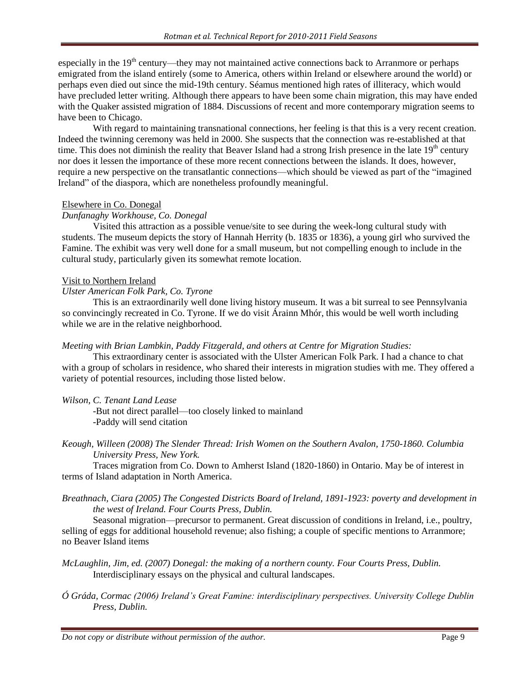especially in the 19<sup>th</sup> century—they may not maintained active connections back to Arranmore or perhaps emigrated from the island entirely (some to America, others within Ireland or elsewhere around the world) or perhaps even died out since the mid-19th century. Séamus mentioned high rates of illiteracy, which would have precluded letter writing. Although there appears to have been some chain migration, this may have ended with the Quaker assisted migration of 1884. Discussions of recent and more contemporary migration seems to have been to Chicago.

With regard to maintaining transnational connections, her feeling is that this is a very recent creation. Indeed the twinning ceremony was held in 2000. She suspects that the connection was re-established at that time. This does not diminish the reality that Beaver Island had a strong Irish presence in the late  $19<sup>th</sup>$  century nor does it lessen the importance of these more recent connections between the islands. It does, however, require a new perspective on the transatlantic connections—which should be viewed as part of the "imagined Ireland" of the diaspora, which are nonetheless profoundly meaningful.

#### Elsewhere in Co. Donegal

## *Dunfanaghy Workhouse, Co. Donegal*

Visited this attraction as a possible venue/site to see during the week-long cultural study with students. The museum depicts the story of Hannah Herrity (b. 1835 or 1836), a young girl who survived the Famine. The exhibit was very well done for a small museum, but not compelling enough to include in the cultural study, particularly given its somewhat remote location.

#### Visit to Northern Ireland

#### *Ulster American Folk Park, Co. Tyrone*

This is an extraordinarily well done living history museum. It was a bit surreal to see Pennsylvania so convincingly recreated in Co. Tyrone. If we do visit Árainn Mhór, this would be well worth including while we are in the relative neighborhood.

## *Meeting with Brian Lambkin, Paddy Fitzgerald, and others at Centre for Migration Studies:*

This extraordinary center is associated with the Ulster American Folk Park. I had a chance to chat with a group of scholars in residence, who shared their interests in migration studies with me. They offered a variety of potential resources, including those listed below.

## *Wilson, C. Tenant Land Lease*

-But not direct parallel—too closely linked to mainland -Paddy will send citation

*Keough, Willeen (2008) The Slender Thread: Irish Women on the Southern Avalon, 1750-1860. Columbia University Press, New York.*

Traces migration from Co. Down to Amherst Island (1820-1860) in Ontario. May be of interest in terms of Island adaptation in North America.

*Breathnach, Ciara (2005) The Congested Districts Board of Ireland, 1891-1923: poverty and development in the west of Ireland. Four Courts Press, Dublin.*

Seasonal migration—precursor to permanent. Great discussion of conditions in Ireland, i.e., poultry, selling of eggs for additional household revenue; also fishing; a couple of specific mentions to Arranmore; no Beaver Island items

- *McLaughlin, Jim, ed. (2007) Donegal: the making of a northern county. Four Courts Press, Dublin.* Interdisciplinary essays on the physical and cultural landscapes.
- *Ó Gráda, Cormac (2006) Ireland's Great Famine: interdisciplinary perspectives. University College Dublin Press, Dublin.*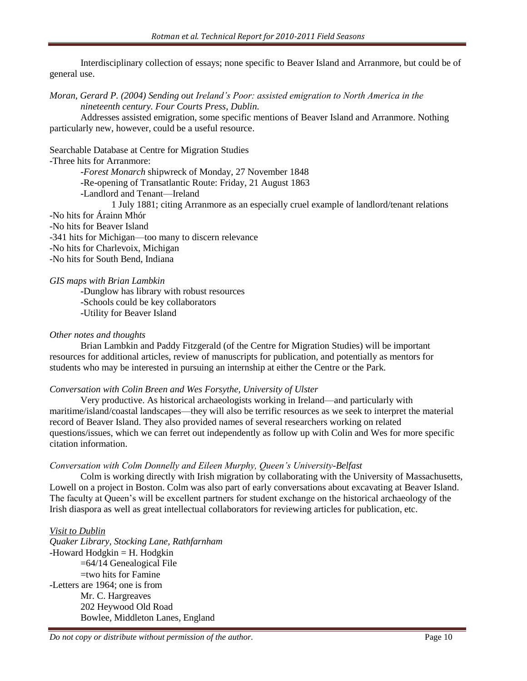Interdisciplinary collection of essays; none specific to Beaver Island and Arranmore, but could be of general use.

*Moran, Gerard P. (2004) Sending out Ireland's Poor: assisted emigration to North America in the nineteenth century. Four Courts Press, Dublin.*

Addresses assisted emigration, some specific mentions of Beaver Island and Arranmore. Nothing particularly new, however, could be a useful resource.

Searchable Database at Centre for Migration Studies

-Three hits for Arranmore:

-*Forest Monarch* shipwreck of Monday, 27 November 1848 -Re-opening of Transatlantic Route: Friday, 21 August 1863 -Landlord and Tenant—Ireland 1 July 1881; citing Arranmore as an especially cruel example of landlord/tenant relations -No hits for Árainn Mhór -No hits for Beaver Island

-341 hits for Michigan—too many to discern relevance

-No hits for Charlevoix, Michigan

-No hits for South Bend, Indiana

*GIS maps with Brian Lambkin*

-Dunglow has library with robust resources -Schools could be key collaborators -Utility for Beaver Island

#### *Other notes and thoughts*

Brian Lambkin and Paddy Fitzgerald (of the Centre for Migration Studies) will be important resources for additional articles, review of manuscripts for publication, and potentially as mentors for students who may be interested in pursuing an internship at either the Centre or the Park.

#### *Conversation with Colin Breen and Wes Forsythe, University of Ulster*

Very productive. As historical archaeologists working in Ireland—and particularly with maritime/island/coastal landscapes—they will also be terrific resources as we seek to interpret the material record of Beaver Island. They also provided names of several researchers working on related questions/issues, which we can ferret out independently as follow up with Colin and Wes for more specific citation information.

#### *Conversation with Colm Donnelly and Eileen Murphy, Queen's University-Belfast*

Colm is working directly with Irish migration by collaborating with the University of Massachusetts, Lowell on a project in Boston. Colm was also part of early conversations about excavating at Beaver Island. The faculty at Queen"s will be excellent partners for student exchange on the historical archaeology of the Irish diaspora as well as great intellectual collaborators for reviewing articles for publication, etc.

#### *Visit to Dublin*

*Quaker Library, Stocking Lane, Rathfarnham* -Howard Hodgkin  $=$  H. Hodgkin =64/14 Genealogical File  $=$ two hits for Famine -Letters are 1964; one is from Mr. C. Hargreaves 202 Heywood Old Road Bowlee, Middleton Lanes, England

*Do not copy or distribute without permission of the author.* Page 10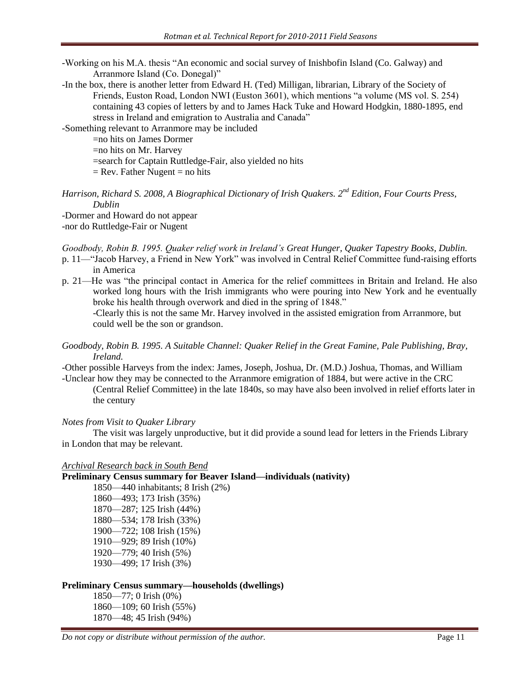-Working on his M.A. thesis "An economic and social survey of Inishbofin Island (Co. Galway) and Arranmore Island (Co. Donegal)"

-In the box, there is another letter from Edward H. (Ted) Milligan, librarian, Library of the Society of Friends, Euston Road, London NWI (Euston 3601), which mentions "a volume (MS vol. S. 254) containing 43 copies of letters by and to James Hack Tuke and Howard Hodgkin, 1880-1895, end stress in Ireland and emigration to Australia and Canada"

-Something relevant to Arranmore may be included

=no hits on James Dormer

=no hits on Mr. Harvey

=search for Captain Ruttledge-Fair, also yielded no hits

 $=$  Rev. Father Nugent  $=$  no hits

*Harrison, Richard S. 2008, A Biographical Dictionary of Irish Quakers. 2nd Edition, Four Courts Press, Dublin*

-Dormer and Howard do not appear

-nor do Ruttledge-Fair or Nugent

*Goodbody, Robin B. 1995. Quaker relief work in Ireland's Great Hunger, Quaker Tapestry Books, Dublin.*

- p. 11—"Jacob Harvey, a Friend in New York" was involved in Central Relief Committee fund-raising efforts in America
- p. 21—He was "the principal contact in America for the relief committees in Britain and Ireland. He also worked long hours with the Irish immigrants who were pouring into New York and he eventually broke his health through overwork and died in the spring of 1848."

-Clearly this is not the same Mr. Harvey involved in the assisted emigration from Arranmore, but could well be the son or grandson.

## *Goodbody, Robin B. 1995. A Suitable Channel: Quaker Relief in the Great Famine, Pale Publishing, Bray, Ireland.*

-Other possible Harveys from the index: James, Joseph, Joshua, Dr. (M.D.) Joshua, Thomas, and William -Unclear how they may be connected to the Arranmore emigration of 1884, but were active in the CRC

(Central Relief Committee) in the late 1840s, so may have also been involved in relief efforts later in the century

## *Notes from Visit to Quaker Library*

The visit was largely unproductive, but it did provide a sound lead for letters in the Friends Library in London that may be relevant.

## *Archival Research back in South Bend*

## **Preliminary Census summary for Beaver Island—individuals (nativity)**

1850—440 inhabitants; 8 Irish (2%) 1860—493; 173 Irish (35%) 1870—287; 125 Irish (44%) 1880—534; 178 Irish (33%) 1900—722; 108 Irish (15%) 1910—929; 89 Irish (10%) 1920—779; 40 Irish (5%) 1930—499; 17 Irish (3%)

## **Preliminary Census summary—households (dwellings)**

1850—77; 0 Irish (0%) 1860—109; 60 Irish (55%) 1870—48; 45 Irish (94%)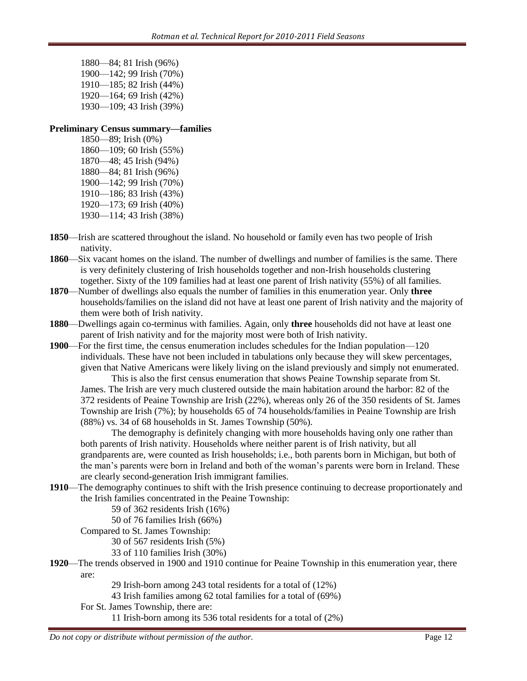1880—84; 81 Irish (96%) 1900—142; 99 Irish (70%) 1910—185; 82 Irish (44%) 1920—164; 69 Irish (42%) 1930—109; 43 Irish (39%)

#### **Preliminary Census summary—families**

1850—89; Irish (0%) 1860—109; 60 Irish (55%) 1870—48; 45 Irish (94%) 1880—84; 81 Irish (96%) 1900—142; 99 Irish (70%) 1910—186; 83 Irish (43%) 1920—173; 69 Irish (40%) 1930—114; 43 Irish (38%)

- **1850**—Irish are scattered throughout the island. No household or family even has two people of Irish nativity.
- **1860**—Six vacant homes on the island. The number of dwellings and number of families is the same. There is very definitely clustering of Irish households together and non-Irish households clustering together. Sixty of the 109 families had at least one parent of Irish nativity (55%) of all families.
- **1870**—Number of dwellings also equals the number of families in this enumeration year. Only **three** households/families on the island did not have at least one parent of Irish nativity and the majority of them were both of Irish nativity.
- **1880**—Dwellings again co-terminus with families. Again, only **three** households did not have at least one parent of Irish nativity and for the majority most were both of Irish nativity.
- **1900**—For the first time, the census enumeration includes schedules for the Indian population—120 individuals. These have not been included in tabulations only because they will skew percentages, given that Native Americans were likely living on the island previously and simply not enumerated.

This is also the first census enumeration that shows Peaine Township separate from St. James. The Irish are very much clustered outside the main habitation around the harbor: 82 of the 372 residents of Peaine Township are Irish (22%), whereas only 26 of the 350 residents of St. James Township are Irish (7%); by households 65 of 74 households/families in Peaine Township are Irish (88%) vs. 34 of 68 households in St. James Township (50%).

The demography is definitely changing with more households having only one rather than both parents of Irish nativity. Households where neither parent is of Irish nativity, but all grandparents are, were counted as Irish households; i.e., both parents born in Michigan, but both of the man"s parents were born in Ireland and both of the woman"s parents were born in Ireland. These are clearly second-generation Irish immigrant families.

**1910**—The demography continues to shift with the Irish presence continuing to decrease proportionately and the Irish families concentrated in the Peaine Township:

59 of 362 residents Irish (16%)

50 of 76 families Irish (66%)

Compared to St. James Township:

30 of 567 residents Irish (5%)

33 of 110 families Irish (30%)

**1920**—The trends observed in 1900 and 1910 continue for Peaine Township in this enumeration year, there are:

29 Irish-born among 243 total residents for a total of (12%)

- 43 Irish families among 62 total families for a total of (69%)
- For St. James Township, there are:

11 Irish-born among its 536 total residents for a total of (2%)

*Do not copy or distribute without permission of the author.* Page 12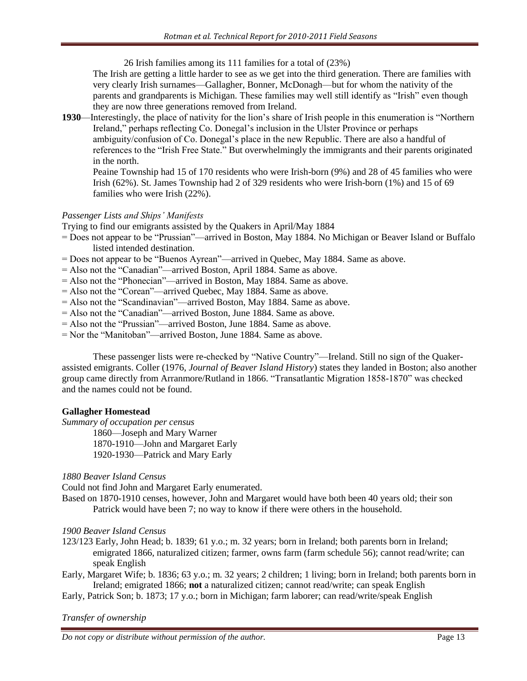26 Irish families among its 111 families for a total of (23%)

The Irish are getting a little harder to see as we get into the third generation. There are families with very clearly Irish surnames—Gallagher, Bonner, McDonagh—but for whom the nativity of the parents and grandparents is Michigan. These families may well still identify as "Irish" even though they are now three generations removed from Ireland.

**1930**—Interestingly, the place of nativity for the lion's share of Irish people in this enumeration is "Northern Ireland," perhaps reflecting Co. Donegal"s inclusion in the Ulster Province or perhaps ambiguity/confusion of Co. Donegal's place in the new Republic. There are also a handful of references to the "Irish Free State." But overwhelmingly the immigrants and their parents originated in the north.

Peaine Township had 15 of 170 residents who were Irish-born (9%) and 28 of 45 families who were Irish (62%). St. James Township had 2 of 329 residents who were Irish-born (1%) and 15 of 69 families who were Irish (22%).

# *Passenger Lists and Ships' Manifests*

Trying to find our emigrants assisted by the Quakers in April/May 1884

- = Does not appear to be "Prussian"—arrived in Boston, May 1884. No Michigan or Beaver Island or Buffalo listed intended destination.
- = Does not appear to be "Buenos Ayrean"—arrived in Quebec, May 1884. Same as above.
- = Also not the "Canadian"—arrived Boston, April 1884. Same as above.
- = Also not the "Phonecian"—arrived in Boston, May 1884. Same as above.
- = Also not the "Corean"—arrived Quebec, May 1884. Same as above.
- = Also not the "Scandinavian"—arrived Boston, May 1884. Same as above.
- = Also not the "Canadian"—arrived Boston, June 1884. Same as above.
- = Also not the "Prussian"—arrived Boston, June 1884. Same as above.
- = Nor the "Manitoban"—arrived Boston, June 1884. Same as above.

These passenger lists were re-checked by "Native Country"—Ireland. Still no sign of the Quakerassisted emigrants. Coller (1976, *Journal of Beaver Island History*) states they landed in Boston; also another group came directly from Arranmore/Rutland in 1866. "Transatlantic Migration 1858-1870" was checked and the names could not be found.

# **Gallagher Homestead**

*Summary of occupation per census*

1860—Joseph and Mary Warner 1870-1910—John and Margaret Early

1920-1930—Patrick and Mary Early

## *1880 Beaver Island Census*

Could not find John and Margaret Early enumerated.

Based on 1870-1910 censes, however, John and Margaret would have both been 40 years old; their son Patrick would have been 7; no way to know if there were others in the household.

# *1900 Beaver Island Census*

123/123 Early, John Head; b. 1839; 61 y.o.; m. 32 years; born in Ireland; both parents born in Ireland; emigrated 1866, naturalized citizen; farmer, owns farm (farm schedule 56); cannot read/write; can speak English

Early, Margaret Wife; b. 1836; 63 y.o.; m. 32 years; 2 children; 1 living; born in Ireland; both parents born in Ireland; emigrated 1866; **not** a naturalized citizen; cannot read/write; can speak English

Early, Patrick Son; b. 1873; 17 y.o.; born in Michigan; farm laborer; can read/write/speak English

# *Transfer of ownership*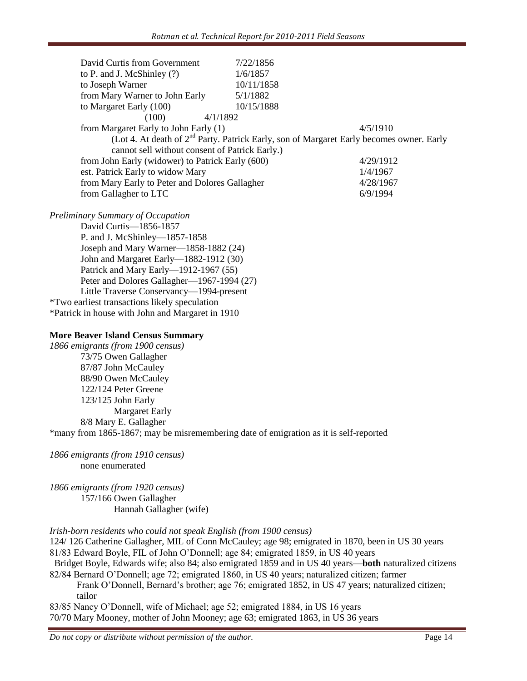|                                                      | David Curtis from Government                                                               | 7/22/1856  |           |  |
|------------------------------------------------------|--------------------------------------------------------------------------------------------|------------|-----------|--|
|                                                      | to P. and J. McShinley (?)                                                                 | 1/6/1857   |           |  |
|                                                      | to Joseph Warner                                                                           | 10/11/1858 |           |  |
|                                                      | from Mary Warner to John Early                                                             | 5/1/1882   |           |  |
|                                                      | to Margaret Early (100)                                                                    | 10/15/1888 |           |  |
|                                                      | (100)<br>4/1/1892                                                                          |            |           |  |
|                                                      | from Margaret Early to John Early (1)                                                      |            | 4/5/1910  |  |
|                                                      | (Lot 4. At death of $2nd$ Party. Patrick Early, son of Margaret Early becomes owner. Early |            |           |  |
|                                                      | cannot sell without consent of Patrick Early.)                                             |            |           |  |
|                                                      | from John Early (widower) to Patrick Early (600)                                           |            | 4/29/1912 |  |
|                                                      | est. Patrick Early to widow Mary                                                           |            | 1/4/1967  |  |
|                                                      | from Mary Early to Peter and Dolores Gallagher                                             |            | 4/28/1967 |  |
|                                                      | from Gallagher to LTC                                                                      |            | 6/9/1994  |  |
|                                                      | Preliminary Summary of Occupation                                                          |            |           |  |
|                                                      | David Curtis-1856-1857                                                                     |            |           |  |
|                                                      | P. and J. McShinley-1857-1858                                                              |            |           |  |
|                                                      | Joseph and Mary Warner—1858-1882 (24)                                                      |            |           |  |
|                                                      | John and Margaret Early-1882-1912 (30)                                                     |            |           |  |
|                                                      | Patrick and Mary Early-1912-1967 (55)                                                      |            |           |  |
|                                                      | Peter and Dolores Gallagher—1967-1994 (27)                                                 |            |           |  |
|                                                      | Little Traverse Conservancy-1994-present                                                   |            |           |  |
| <i>*Two earliest transactions likely speculation</i> |                                                                                            |            |           |  |
| *Patrick in house with John and Margaret in 1910     |                                                                                            |            |           |  |
|                                                      |                                                                                            |            |           |  |
|                                                      |                                                                                            |            |           |  |

## **More Beaver Island Census Summary**

*1866 emigrants (from 1900 census)* 73/75 Owen Gallagher 87/87 John McCauley 88/90 Owen McCauley 122/124 Peter Greene 123/125 John Early Margaret Early 8/8 Mary E. Gallagher \*many from 1865-1867; may be misremembering date of emigration as it is self-reported

*1866 emigrants (from 1910 census)* none enumerated

*1866 emigrants (from 1920 census)* 157/166 Owen Gallagher Hannah Gallagher (wife)

## *Irish-born residents who could not speak English (from 1900 census)*

124/ 126 Catherine Gallagher, MIL of Conn McCauley; age 98; emigrated in 1870, been in US 30 years 81/83 Edward Boyle, FIL of John O"Donnell; age 84; emigrated 1859, in US 40 years

Bridget Boyle, Edwards wife; also 84; also emigrated 1859 and in US 40 years—**both** naturalized citizens 82/84 Bernard O"Donnell; age 72; emigrated 1860, in US 40 years; naturalized citizen; farmer

Frank O"Donnell, Bernard"s brother; age 76; emigrated 1852, in US 47 years; naturalized citizen; tailor

83/85 Nancy O"Donnell, wife of Michael; age 52; emigrated 1884, in US 16 years 70/70 Mary Mooney, mother of John Mooney; age 63; emigrated 1863, in US 36 years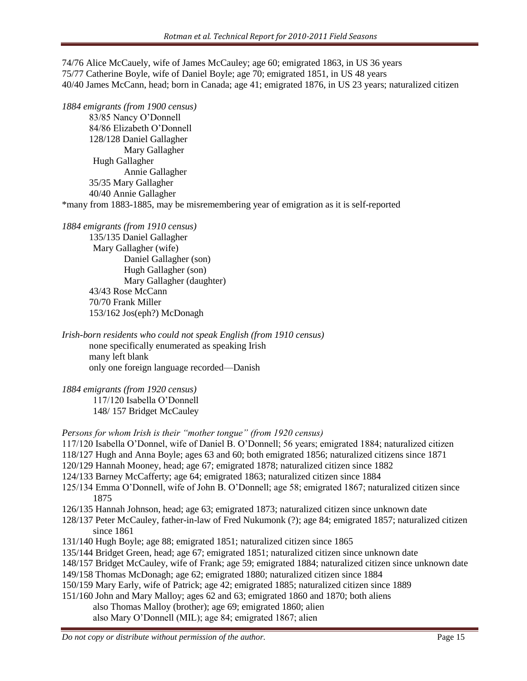74/76 Alice McCauely, wife of James McCauley; age 60; emigrated 1863, in US 36 years 75/77 Catherine Boyle, wife of Daniel Boyle; age 70; emigrated 1851, in US 48 years 40/40 James McCann, head; born in Canada; age 41; emigrated 1876, in US 23 years; naturalized citizen

*1884 emigrants (from 1900 census)*

83/85 Nancy O"Donnell 84/86 Elizabeth O"Donnell 128/128 Daniel Gallagher Mary Gallagher Hugh Gallagher Annie Gallagher 35/35 Mary Gallagher 40/40 Annie Gallagher

\*many from 1883-1885, may be misremembering year of emigration as it is self-reported

*1884 emigrants (from 1910 census)*

135/135 Daniel Gallagher Mary Gallagher (wife) Daniel Gallagher (son) Hugh Gallagher (son) Mary Gallagher (daughter) 43/43 Rose McCann 70/70 Frank Miller 153/162 Jos(eph?) McDonagh

*Irish-born residents who could not speak English (from 1910 census)* none specifically enumerated as speaking Irish many left blank only one foreign language recorded—Danish

*1884 emigrants (from 1920 census)* 117/120 Isabella O"Donnell 148/ 157 Bridget McCauley

*Persons for whom Irish is their "mother tongue" (from 1920 census)*

- 117/120 Isabella O"Donnel, wife of Daniel B. O"Donnell; 56 years; emigrated 1884; naturalized citizen
- 118/127 Hugh and Anna Boyle; ages 63 and 60; both emigrated 1856; naturalized citizens since 1871
- 120/129 Hannah Mooney, head; age 67; emigrated 1878; naturalized citizen since 1882
- 124/133 Barney McCafferty; age 64; emigrated 1863; naturalized citizen since 1884
- 125/134 Emma O"Donnell, wife of John B. O"Donnell; age 58; emigrated 1867; naturalized citizen since 1875
- 126/135 Hannah Johnson, head; age 63; emigrated 1873; naturalized citizen since unknown date
- 128/137 Peter McCauley, father-in-law of Fred Nukumonk (?); age 84; emigrated 1857; naturalized citizen since 1861
- 131/140 Hugh Boyle; age 88; emigrated 1851; naturalized citizen since 1865
- 135/144 Bridget Green, head; age 67; emigrated 1851; naturalized citizen since unknown date
- 148/157 Bridget McCauley, wife of Frank; age 59; emigrated 1884; naturalized citizen since unknown date
- 149/158 Thomas McDonagh; age 62; emigrated 1880; naturalized citizen since 1884
- 150/159 Mary Early, wife of Patrick; age 42; emigrated 1885; naturalized citizen since 1889
- 151/160 John and Mary Malloy; ages 62 and 63; emigrated 1860 and 1870; both aliens
	- also Thomas Malloy (brother); age 69; emigrated 1860; alien
		- also Mary O"Donnell (MIL); age 84; emigrated 1867; alien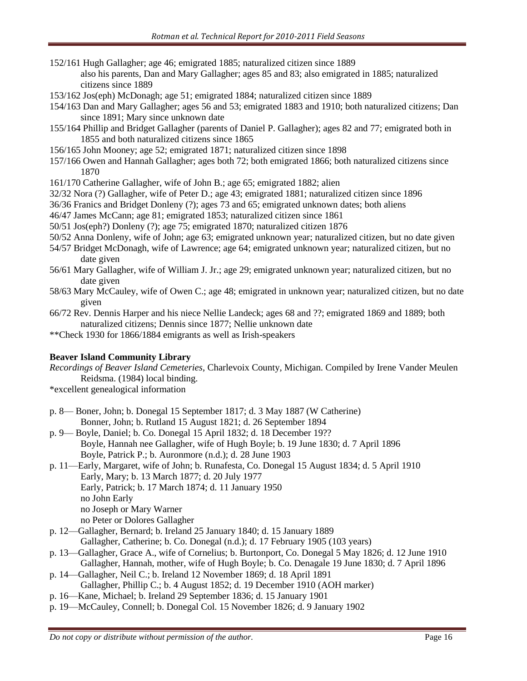- 152/161 Hugh Gallagher; age 46; emigrated 1885; naturalized citizen since 1889 also his parents, Dan and Mary Gallagher; ages 85 and 83; also emigrated in 1885; naturalized citizens since 1889
- 153/162 Jos(eph) McDonagh; age 51; emigrated 1884; naturalized citizen since 1889
- 154/163 Dan and Mary Gallagher; ages 56 and 53; emigrated 1883 and 1910; both naturalized citizens; Dan since 1891; Mary since unknown date
- 155/164 Phillip and Bridget Gallagher (parents of Daniel P. Gallagher); ages 82 and 77; emigrated both in 1855 and both naturalized citizens since 1865
- 156/165 John Mooney; age 52; emigrated 1871; naturalized citizen since 1898
- 157/166 Owen and Hannah Gallagher; ages both 72; both emigrated 1866; both naturalized citizens since 1870
- 161/170 Catherine Gallagher, wife of John B.; age 65; emigrated 1882; alien
- 32/32 Nora (?) Gallagher, wife of Peter D.; age 43; emigrated 1881; naturalized citizen since 1896
- 36/36 Franics and Bridget Donleny (?); ages 73 and 65; emigrated unknown dates; both aliens
- 46/47 James McCann; age 81; emigrated 1853; naturalized citizen since 1861
- 50/51 Jos(eph?) Donleny (?); age 75; emigrated 1870; naturalized citizen 1876
- 50/52 Anna Donleny, wife of John; age 63; emigrated unknown year; naturalized citizen, but no date given
- 54/57 Bridget McDonagh, wife of Lawrence; age 64; emigrated unknown year; naturalized citizen, but no date given
- 56/61 Mary Gallagher, wife of William J. Jr.; age 29; emigrated unknown year; naturalized citizen, but no date given
- 58/63 Mary McCauley, wife of Owen C.; age 48; emigrated in unknown year; naturalized citizen, but no date given
- 66/72 Rev. Dennis Harper and his niece Nellie Landeck; ages 68 and ??; emigrated 1869 and 1889; both naturalized citizens; Dennis since 1877; Nellie unknown date
- \*\*Check 1930 for 1866/1884 emigrants as well as Irish-speakers

## **Beaver Island Community Library**

*Recordings of Beaver Island Cemeteries*, Charlevoix County, Michigan. Compiled by Irene Vander Meulen Reidsma. (1984) local binding.

\*excellent genealogical information

- p. 8— Boner, John; b. Donegal 15 September 1817; d. 3 May 1887 (W Catherine) Bonner, John; b. Rutland 15 August 1821; d. 26 September 1894
- p. 9— Boyle, Daniel; b. Co. Donegal 15 April 1832; d. 18 December 19?? Boyle, Hannah nee Gallagher, wife of Hugh Boyle; b. 19 June 1830; d. 7 April 1896 Boyle, Patrick P.; b. Auronmore (n.d.); d. 28 June 1903
- p. 11—Early, Margaret, wife of John; b. Runafesta, Co. Donegal 15 August 1834; d. 5 April 1910 Early, Mary; b. 13 March 1877; d. 20 July 1977 Early, Patrick; b. 17 March 1874; d. 11 January 1950 no John Early no Joseph or Mary Warner no Peter or Dolores Gallagher
- p. 12—Gallagher, Bernard; b. Ireland 25 January 1840; d. 15 January 1889 Gallagher, Catherine; b. Co. Donegal (n.d.); d. 17 February 1905 (103 years)
- p. 13—Gallagher, Grace A., wife of Cornelius; b. Burtonport, Co. Donegal 5 May 1826; d. 12 June 1910 Gallagher, Hannah, mother, wife of Hugh Boyle; b. Co. Denagale 19 June 1830; d. 7 April 1896
- p. 14—Gallagher, Neil C.; b. Ireland 12 November 1869; d. 18 April 1891
	- Gallagher, Phillip C.; b. 4 August 1852; d. 19 December 1910 (AOH marker)
- p. 16—Kane, Michael; b. Ireland 29 September 1836; d. 15 January 1901
- p. 19—McCauley, Connell; b. Donegal Col. 15 November 1826; d. 9 January 1902